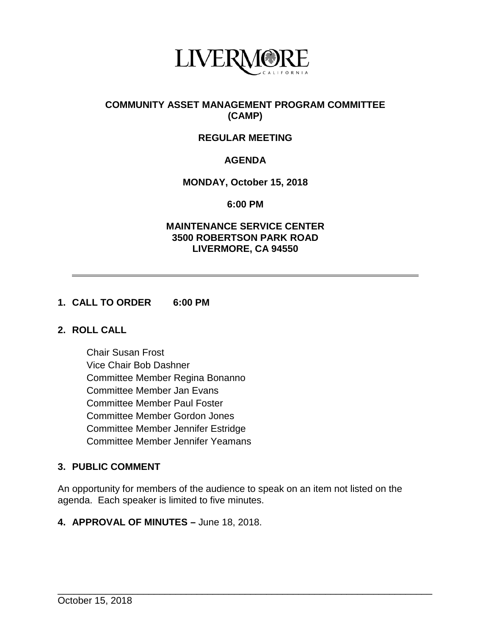

## **COMMUNITY ASSET MANAGEMENT PROGRAM COMMITTEE (CAMP)**

# **REGULAR MEETING**

# **AGENDA**

### **MONDAY, October 15, 2018**

**6:00 PM**

#### **MAINTENANCE SERVICE CENTER 3500 ROBERTSON PARK ROAD LIVERMORE, CA 94550**

# **1. CALL TO ORDER 6:00 PM**

### **2. ROLL CALL**

Chair Susan Frost Vice Chair Bob Dashner Committee Member Regina Bonanno Committee Member Jan Evans Committee Member Paul Foster Committee Member Gordon Jones Committee Member Jennifer Estridge Committee Member Jennifer Yeamans

# **3. PUBLIC COMMENT**

An opportunity for members of the audience to speak on an item not listed on the agenda. Each speaker is limited to five minutes.

\_\_\_\_\_\_\_\_\_\_\_\_\_\_\_\_\_\_\_\_\_\_\_\_\_\_\_\_\_\_\_\_\_\_\_\_\_\_\_\_\_\_\_\_\_\_\_\_\_\_\_\_\_\_\_\_\_\_\_\_\_\_\_\_\_\_\_\_\_\_

**4. APPROVAL OF MINUTES –** June 18, 2018.